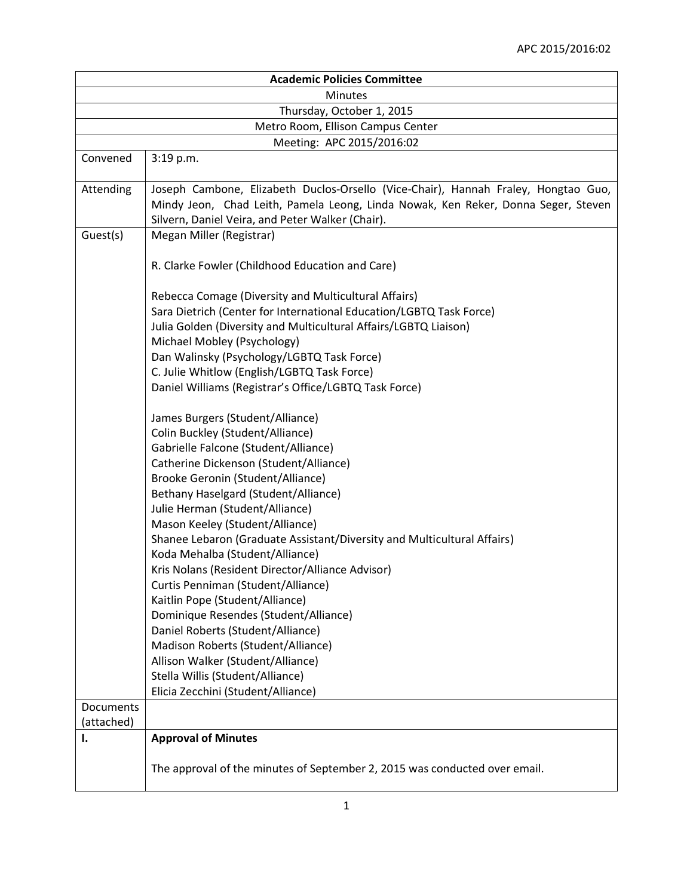|                | <b>Academic Policies Committee</b>                                                                                                                                                                                          |  |
|----------------|-----------------------------------------------------------------------------------------------------------------------------------------------------------------------------------------------------------------------------|--|
| <b>Minutes</b> |                                                                                                                                                                                                                             |  |
|                | Thursday, October 1, 2015                                                                                                                                                                                                   |  |
|                | Metro Room, Ellison Campus Center                                                                                                                                                                                           |  |
|                | Meeting: APC 2015/2016:02                                                                                                                                                                                                   |  |
| Convened       | 3:19 p.m.                                                                                                                                                                                                                   |  |
| Attending      | Joseph Cambone, Elizabeth Duclos-Orsello (Vice-Chair), Hannah Fraley, Hongtao Guo,<br>Mindy Jeon, Chad Leith, Pamela Leong, Linda Nowak, Ken Reker, Donna Seger, Steven<br>Silvern, Daniel Veira, and Peter Walker (Chair). |  |
| Guest(s)       | Megan Miller (Registrar)                                                                                                                                                                                                    |  |
|                | R. Clarke Fowler (Childhood Education and Care)                                                                                                                                                                             |  |
|                | Rebecca Comage (Diversity and Multicultural Affairs)                                                                                                                                                                        |  |
|                | Sara Dietrich (Center for International Education/LGBTQ Task Force)                                                                                                                                                         |  |
|                | Julia Golden (Diversity and Multicultural Affairs/LGBTQ Liaison)                                                                                                                                                            |  |
|                | Michael Mobley (Psychology)                                                                                                                                                                                                 |  |
|                | Dan Walinsky (Psychology/LGBTQ Task Force)                                                                                                                                                                                  |  |
|                | C. Julie Whitlow (English/LGBTQ Task Force)                                                                                                                                                                                 |  |
|                | Daniel Williams (Registrar's Office/LGBTQ Task Force)                                                                                                                                                                       |  |
|                | James Burgers (Student/Alliance)                                                                                                                                                                                            |  |
|                | Colin Buckley (Student/Alliance)                                                                                                                                                                                            |  |
|                | Gabrielle Falcone (Student/Alliance)                                                                                                                                                                                        |  |
|                | Catherine Dickenson (Student/Alliance)                                                                                                                                                                                      |  |
|                | Brooke Geronin (Student/Alliance)                                                                                                                                                                                           |  |
|                | Bethany Haselgard (Student/Alliance)                                                                                                                                                                                        |  |
|                | Julie Herman (Student/Alliance)<br>Mason Keeley (Student/Alliance)                                                                                                                                                          |  |
|                | Shanee Lebaron (Graduate Assistant/Diversity and Multicultural Affairs)                                                                                                                                                     |  |
|                | Koda Mehalba (Student/Alliance)                                                                                                                                                                                             |  |
|                | Kris Nolans (Resident Director/Alliance Advisor)                                                                                                                                                                            |  |
|                | Curtis Penniman (Student/Alliance)                                                                                                                                                                                          |  |
|                | Kaitlin Pope (Student/Alliance)                                                                                                                                                                                             |  |
|                | Dominique Resendes (Student/Alliance)                                                                                                                                                                                       |  |
|                | Daniel Roberts (Student/Alliance)                                                                                                                                                                                           |  |
|                | Madison Roberts (Student/Alliance)                                                                                                                                                                                          |  |
|                | Allison Walker (Student/Alliance)                                                                                                                                                                                           |  |
|                | Stella Willis (Student/Alliance)                                                                                                                                                                                            |  |
|                | Elicia Zecchini (Student/Alliance)                                                                                                                                                                                          |  |
| Documents      |                                                                                                                                                                                                                             |  |
| (attached)     |                                                                                                                                                                                                                             |  |
| Ι.             | <b>Approval of Minutes</b>                                                                                                                                                                                                  |  |
|                | The approval of the minutes of September 2, 2015 was conducted over email.                                                                                                                                                  |  |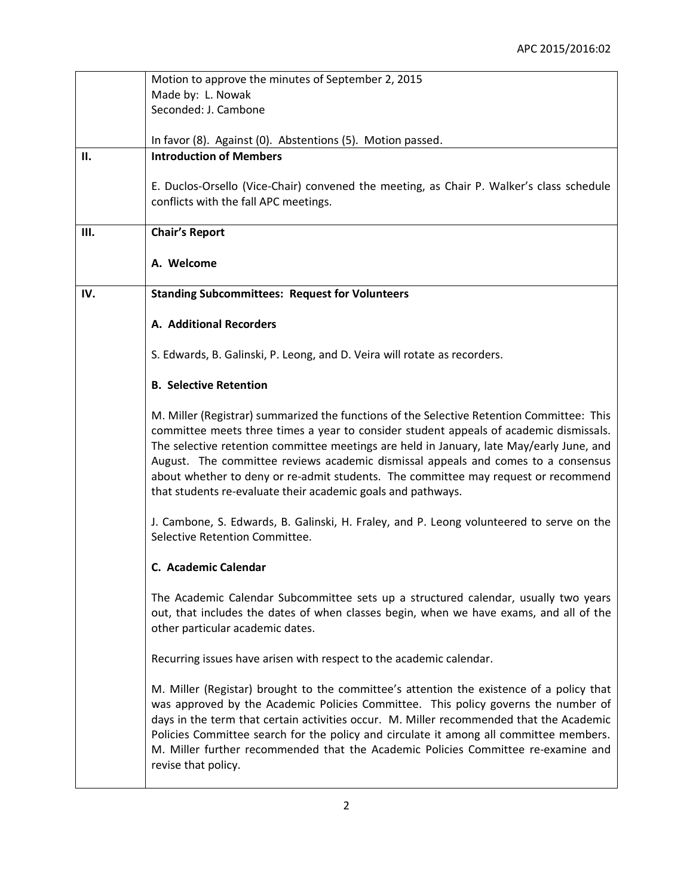|      | Motion to approve the minutes of September 2, 2015                                                                                                                                                                                                                                                                                                                                                                                                                                                                         |
|------|----------------------------------------------------------------------------------------------------------------------------------------------------------------------------------------------------------------------------------------------------------------------------------------------------------------------------------------------------------------------------------------------------------------------------------------------------------------------------------------------------------------------------|
|      | Made by: L. Nowak                                                                                                                                                                                                                                                                                                                                                                                                                                                                                                          |
|      | Seconded: J. Cambone                                                                                                                                                                                                                                                                                                                                                                                                                                                                                                       |
|      | In favor (8). Against (0). Abstentions (5). Motion passed.                                                                                                                                                                                                                                                                                                                                                                                                                                                                 |
| П.   | <b>Introduction of Members</b>                                                                                                                                                                                                                                                                                                                                                                                                                                                                                             |
|      | E. Duclos-Orsello (Vice-Chair) convened the meeting, as Chair P. Walker's class schedule<br>conflicts with the fall APC meetings.                                                                                                                                                                                                                                                                                                                                                                                          |
| III. | <b>Chair's Report</b>                                                                                                                                                                                                                                                                                                                                                                                                                                                                                                      |
|      | A. Welcome                                                                                                                                                                                                                                                                                                                                                                                                                                                                                                                 |
| IV.  | <b>Standing Subcommittees: Request for Volunteers</b>                                                                                                                                                                                                                                                                                                                                                                                                                                                                      |
|      | A. Additional Recorders                                                                                                                                                                                                                                                                                                                                                                                                                                                                                                    |
|      | S. Edwards, B. Galinski, P. Leong, and D. Veira will rotate as recorders.                                                                                                                                                                                                                                                                                                                                                                                                                                                  |
|      | <b>B. Selective Retention</b>                                                                                                                                                                                                                                                                                                                                                                                                                                                                                              |
|      | M. Miller (Registrar) summarized the functions of the Selective Retention Committee: This<br>committee meets three times a year to consider student appeals of academic dismissals.<br>The selective retention committee meetings are held in January, late May/early June, and<br>August. The committee reviews academic dismissal appeals and comes to a consensus<br>about whether to deny or re-admit students. The committee may request or recommend<br>that students re-evaluate their academic goals and pathways. |
|      | J. Cambone, S. Edwards, B. Galinski, H. Fraley, and P. Leong volunteered to serve on the<br>Selective Retention Committee.                                                                                                                                                                                                                                                                                                                                                                                                 |
|      | C. Academic Calendar                                                                                                                                                                                                                                                                                                                                                                                                                                                                                                       |
|      | The Academic Calendar Subcommittee sets up a structured calendar, usually two years<br>out, that includes the dates of when classes begin, when we have exams, and all of the<br>other particular academic dates.                                                                                                                                                                                                                                                                                                          |
|      | Recurring issues have arisen with respect to the academic calendar.                                                                                                                                                                                                                                                                                                                                                                                                                                                        |
|      | M. Miller (Registar) brought to the committee's attention the existence of a policy that<br>was approved by the Academic Policies Committee. This policy governs the number of<br>days in the term that certain activities occur. M. Miller recommended that the Academic<br>Policies Committee search for the policy and circulate it among all committee members.<br>M. Miller further recommended that the Academic Policies Committee re-examine and<br>revise that policy.                                            |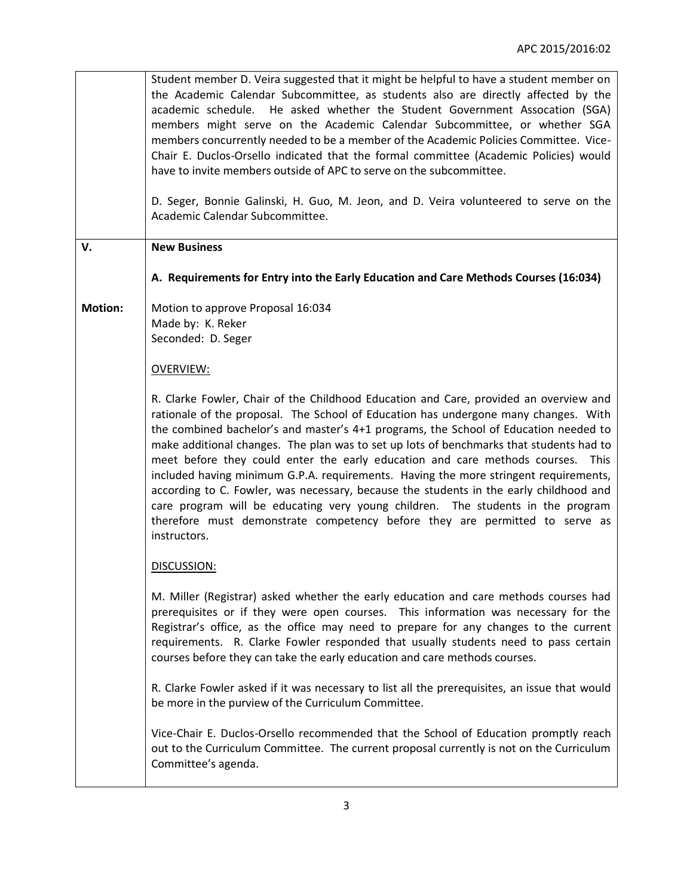Student member D. Veira suggested that it might be helpful to have a student member on the Academic Calendar Subcommittee, as students also are directly affected by the academic schedule. He asked whether the Student Government Assocation (SGA) members might serve on the Academic Calendar Subcommittee, or whether SGA members concurrently needed to be a member of the Academic Policies Committee. Vice-Chair E. Duclos-Orsello indicated that the formal committee (Academic Policies) would have to invite members outside of APC to serve on the subcommittee. D. Seger, Bonnie Galinski, H. Guo, M. Jeon, and D. Veira volunteered to serve on the Academic Calendar Subcommittee. **V. Motion: New Business A. Requirements for Entry into the Early Education and Care Methods Courses (16:034)** Motion to approve Proposal 16:034 Made by: K. Reker Seconded: D. Seger OVERVIEW: R. Clarke Fowler, Chair of the Childhood Education and Care, provided an overview and rationale of the proposal. The School of Education has undergone many changes. With the combined bachelor's and master's 4+1 programs, the School of Education needed to make additional changes. The plan was to set up lots of benchmarks that students had to meet before they could enter the early education and care methods courses. This included having minimum G.P.A. requirements. Having the more stringent requirements, according to C. Fowler, was necessary, because the students in the early childhood and care program will be educating very young children. The students in the program therefore must demonstrate competency before they are permitted to serve as instructors. DISCUSSION: M. Miller (Registrar) asked whether the early education and care methods courses had prerequisites or if they were open courses. This information was necessary for the Registrar's office, as the office may need to prepare for any changes to the current requirements. R. Clarke Fowler responded that usually students need to pass certain courses before they can take the early education and care methods courses. R. Clarke Fowler asked if it was necessary to list all the prerequisites, an issue that would be more in the purview of the Curriculum Committee. Vice-Chair E. Duclos-Orsello recommended that the School of Education promptly reach out to the Curriculum Committee. The current proposal currently is not on the Curriculum Committee's agenda.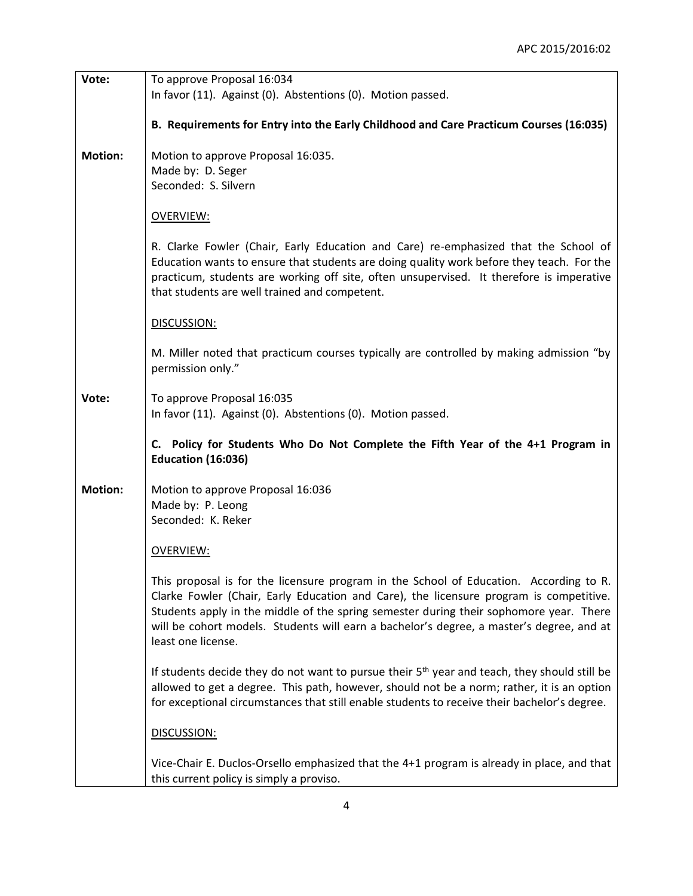| Vote:          | To approve Proposal 16:034                                                                                                                                                                                                                                                                                                                                                                   |
|----------------|----------------------------------------------------------------------------------------------------------------------------------------------------------------------------------------------------------------------------------------------------------------------------------------------------------------------------------------------------------------------------------------------|
|                | In favor (11). Against (0). Abstentions (0). Motion passed.                                                                                                                                                                                                                                                                                                                                  |
|                |                                                                                                                                                                                                                                                                                                                                                                                              |
|                | B. Requirements for Entry into the Early Childhood and Care Practicum Courses (16:035)                                                                                                                                                                                                                                                                                                       |
| <b>Motion:</b> | Motion to approve Proposal 16:035.                                                                                                                                                                                                                                                                                                                                                           |
|                | Made by: D. Seger                                                                                                                                                                                                                                                                                                                                                                            |
|                |                                                                                                                                                                                                                                                                                                                                                                                              |
|                | Seconded: S. Silvern                                                                                                                                                                                                                                                                                                                                                                         |
|                |                                                                                                                                                                                                                                                                                                                                                                                              |
|                | <b>OVERVIEW:</b>                                                                                                                                                                                                                                                                                                                                                                             |
|                | R. Clarke Fowler (Chair, Early Education and Care) re-emphasized that the School of<br>Education wants to ensure that students are doing quality work before they teach. For the<br>practicum, students are working off site, often unsupervised. It therefore is imperative<br>that students are well trained and competent.                                                                |
|                | DISCUSSION:                                                                                                                                                                                                                                                                                                                                                                                  |
|                | M. Miller noted that practicum courses typically are controlled by making admission "by<br>permission only."                                                                                                                                                                                                                                                                                 |
| Vote:          | To approve Proposal 16:035<br>In favor (11). Against (0). Abstentions (0). Motion passed.                                                                                                                                                                                                                                                                                                    |
|                | C. Policy for Students Who Do Not Complete the Fifth Year of the 4+1 Program in<br><b>Education (16:036)</b>                                                                                                                                                                                                                                                                                 |
| <b>Motion:</b> |                                                                                                                                                                                                                                                                                                                                                                                              |
|                | Motion to approve Proposal 16:036                                                                                                                                                                                                                                                                                                                                                            |
|                | Made by: P. Leong                                                                                                                                                                                                                                                                                                                                                                            |
|                | Seconded: K. Reker                                                                                                                                                                                                                                                                                                                                                                           |
|                |                                                                                                                                                                                                                                                                                                                                                                                              |
|                | <b>OVERVIEW:</b>                                                                                                                                                                                                                                                                                                                                                                             |
|                |                                                                                                                                                                                                                                                                                                                                                                                              |
|                | This proposal is for the licensure program in the School of Education. According to R.<br>Clarke Fowler (Chair, Early Education and Care), the licensure program is competitive.<br>Students apply in the middle of the spring semester during their sophomore year. There<br>will be cohort models. Students will earn a bachelor's degree, a master's degree, and at<br>least one license. |
|                | If students decide they do not want to pursue their 5 <sup>th</sup> year and teach, they should still be<br>allowed to get a degree. This path, however, should not be a norm; rather, it is an option<br>for exceptional circumstances that still enable students to receive their bachelor's degree.                                                                                       |
|                | DISCUSSION:                                                                                                                                                                                                                                                                                                                                                                                  |
|                | Vice-Chair E. Duclos-Orsello emphasized that the 4+1 program is already in place, and that<br>this current policy is simply a proviso.                                                                                                                                                                                                                                                       |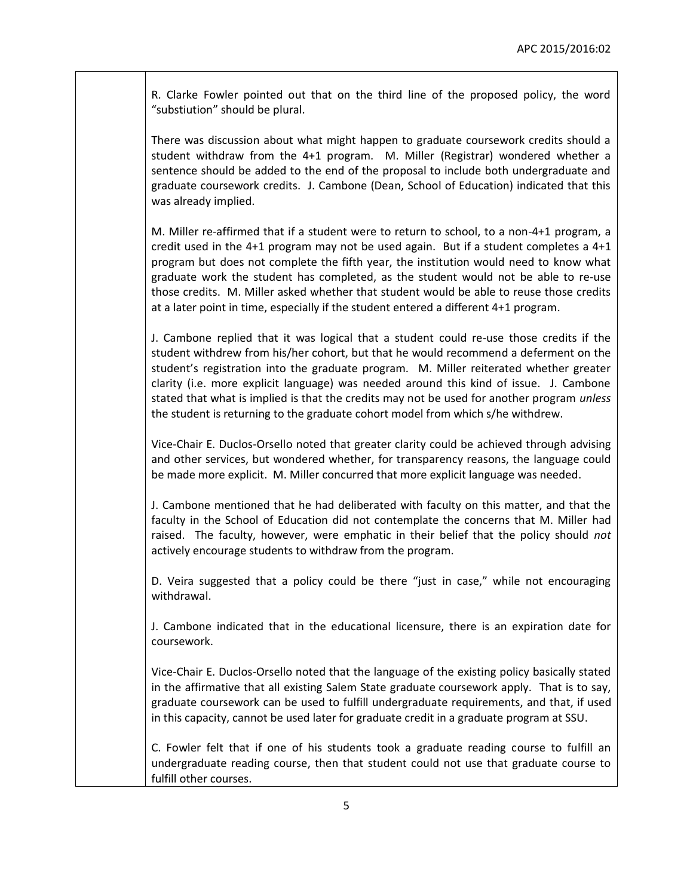R. Clarke Fowler pointed out that on the third line of the proposed policy, the word "substiution" should be plural.

There was discussion about what might happen to graduate coursework credits should a student withdraw from the 4+1 program. M. Miller (Registrar) wondered whether a sentence should be added to the end of the proposal to include both undergraduate and graduate coursework credits. J. Cambone (Dean, School of Education) indicated that this was already implied.

M. Miller re-affirmed that if a student were to return to school, to a non-4+1 program, a credit used in the 4+1 program may not be used again. But if a student completes a 4+1 program but does not complete the fifth year, the institution would need to know what graduate work the student has completed, as the student would not be able to re-use those credits. M. Miller asked whether that student would be able to reuse those credits at a later point in time, especially if the student entered a different 4+1 program.

J. Cambone replied that it was logical that a student could re-use those credits if the student withdrew from his/her cohort, but that he would recommend a deferment on the student's registration into the graduate program. M. Miller reiterated whether greater clarity (i.e. more explicit language) was needed around this kind of issue. J. Cambone stated that what is implied is that the credits may not be used for another program *unless* the student is returning to the graduate cohort model from which s/he withdrew.

Vice-Chair E. Duclos-Orsello noted that greater clarity could be achieved through advising and other services, but wondered whether, for transparency reasons, the language could be made more explicit. M. Miller concurred that more explicit language was needed.

J. Cambone mentioned that he had deliberated with faculty on this matter, and that the faculty in the School of Education did not contemplate the concerns that M. Miller had raised. The faculty, however, were emphatic in their belief that the policy should *not*  actively encourage students to withdraw from the program.

D. Veira suggested that a policy could be there "just in case," while not encouraging withdrawal.

J. Cambone indicated that in the educational licensure, there is an expiration date for coursework.

Vice-Chair E. Duclos-Orsello noted that the language of the existing policy basically stated in the affirmative that all existing Salem State graduate coursework apply. That is to say, graduate coursework can be used to fulfill undergraduate requirements, and that, if used in this capacity, cannot be used later for graduate credit in a graduate program at SSU.

C. Fowler felt that if one of his students took a graduate reading course to fulfill an undergraduate reading course, then that student could not use that graduate course to fulfill other courses.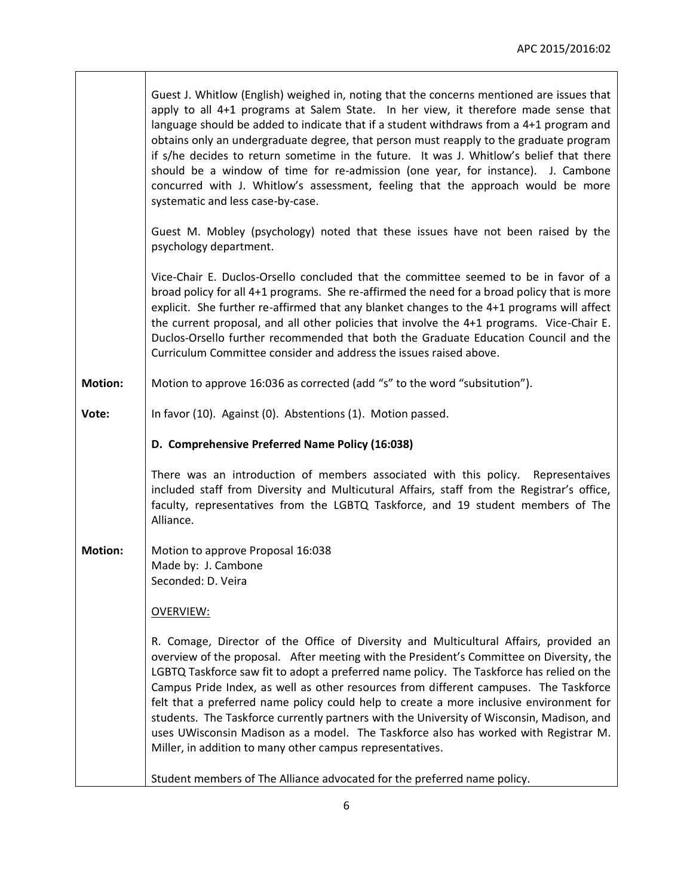|                | Guest J. Whitlow (English) weighed in, noting that the concerns mentioned are issues that<br>apply to all 4+1 programs at Salem State. In her view, it therefore made sense that<br>language should be added to indicate that if a student withdraws from a 4+1 program and<br>obtains only an undergraduate degree, that person must reapply to the graduate program<br>if s/he decides to return sometime in the future. It was J. Whitlow's belief that there<br>should be a window of time for re-admission (one year, for instance). J. Cambone<br>concurred with J. Whitlow's assessment, feeling that the approach would be more<br>systematic and less case-by-case.                                        |
|----------------|---------------------------------------------------------------------------------------------------------------------------------------------------------------------------------------------------------------------------------------------------------------------------------------------------------------------------------------------------------------------------------------------------------------------------------------------------------------------------------------------------------------------------------------------------------------------------------------------------------------------------------------------------------------------------------------------------------------------|
|                | Guest M. Mobley (psychology) noted that these issues have not been raised by the<br>psychology department.                                                                                                                                                                                                                                                                                                                                                                                                                                                                                                                                                                                                          |
|                | Vice-Chair E. Duclos-Orsello concluded that the committee seemed to be in favor of a<br>broad policy for all 4+1 programs. She re-affirmed the need for a broad policy that is more<br>explicit. She further re-affirmed that any blanket changes to the 4+1 programs will affect<br>the current proposal, and all other policies that involve the 4+1 programs. Vice-Chair E.<br>Duclos-Orsello further recommended that both the Graduate Education Council and the<br>Curriculum Committee consider and address the issues raised above.                                                                                                                                                                         |
| <b>Motion:</b> | Motion to approve 16:036 as corrected (add "s" to the word "subsitution").                                                                                                                                                                                                                                                                                                                                                                                                                                                                                                                                                                                                                                          |
| Vote:          | In favor (10). Against (0). Abstentions (1). Motion passed.                                                                                                                                                                                                                                                                                                                                                                                                                                                                                                                                                                                                                                                         |
|                |                                                                                                                                                                                                                                                                                                                                                                                                                                                                                                                                                                                                                                                                                                                     |
|                | D. Comprehensive Preferred Name Policy (16:038)                                                                                                                                                                                                                                                                                                                                                                                                                                                                                                                                                                                                                                                                     |
|                | There was an introduction of members associated with this policy. Representaives<br>included staff from Diversity and Multicutural Affairs, staff from the Registrar's office,<br>faculty, representatives from the LGBTQ Taskforce, and 19 student members of The<br>Alliance.                                                                                                                                                                                                                                                                                                                                                                                                                                     |
| <b>Motion:</b> | Motion to approve Proposal 16:038<br>Made by: J. Cambone<br>Seconded: D. Veira                                                                                                                                                                                                                                                                                                                                                                                                                                                                                                                                                                                                                                      |
|                | <b>OVERVIEW:</b>                                                                                                                                                                                                                                                                                                                                                                                                                                                                                                                                                                                                                                                                                                    |
|                | R. Comage, Director of the Office of Diversity and Multicultural Affairs, provided an<br>overview of the proposal. After meeting with the President's Committee on Diversity, the<br>LGBTQ Taskforce saw fit to adopt a preferred name policy. The Taskforce has relied on the<br>Campus Pride Index, as well as other resources from different campuses. The Taskforce<br>felt that a preferred name policy could help to create a more inclusive environment for<br>students. The Taskforce currently partners with the University of Wisconsin, Madison, and<br>uses UWisconsin Madison as a model. The Taskforce also has worked with Registrar M.<br>Miller, in addition to many other campus representatives. |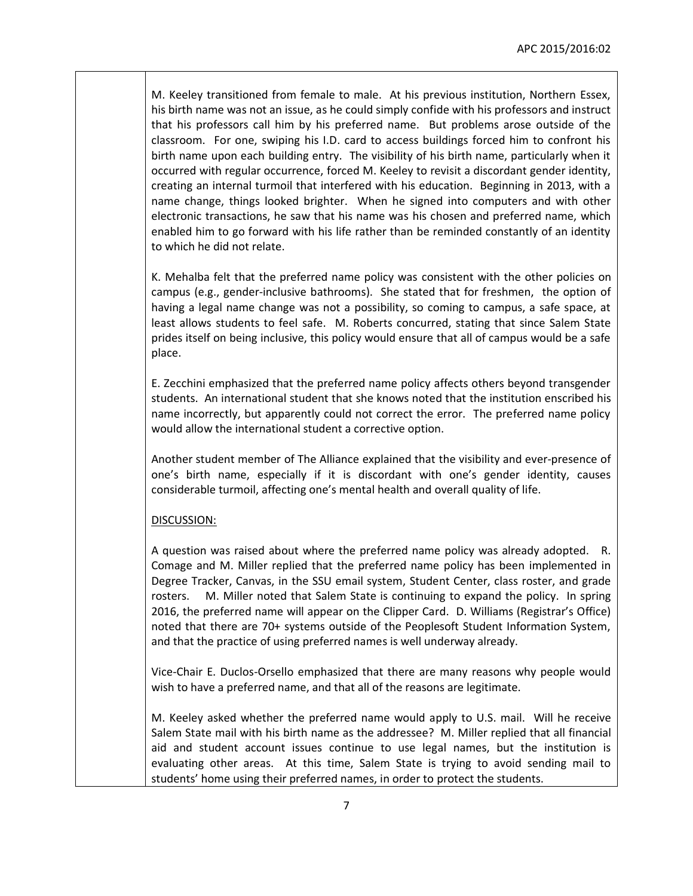M. Keeley transitioned from female to male. At his previous institution, Northern Essex, his birth name was not an issue, as he could simply confide with his professors and instruct that his professors call him by his preferred name. But problems arose outside of the classroom. For one, swiping his I.D. card to access buildings forced him to confront his birth name upon each building entry. The visibility of his birth name, particularly when it occurred with regular occurrence, forced M. Keeley to revisit a discordant gender identity, creating an internal turmoil that interfered with his education. Beginning in 2013, with a name change, things looked brighter. When he signed into computers and with other electronic transactions, he saw that his name was his chosen and preferred name, which enabled him to go forward with his life rather than be reminded constantly of an identity to which he did not relate.

K. Mehalba felt that the preferred name policy was consistent with the other policies on campus (e.g., gender-inclusive bathrooms). She stated that for freshmen, the option of having a legal name change was not a possibility, so coming to campus, a safe space, at least allows students to feel safe. M. Roberts concurred, stating that since Salem State prides itself on being inclusive, this policy would ensure that all of campus would be a safe place.

E. Zecchini emphasized that the preferred name policy affects others beyond transgender students. An international student that she knows noted that the institution enscribed his name incorrectly, but apparently could not correct the error. The preferred name policy would allow the international student a corrective option.

Another student member of The Alliance explained that the visibility and ever-presence of one's birth name, especially if it is discordant with one's gender identity, causes considerable turmoil, affecting one's mental health and overall quality of life.

## DISCUSSION:

A question was raised about where the preferred name policy was already adopted. R. Comage and M. Miller replied that the preferred name policy has been implemented in Degree Tracker, Canvas, in the SSU email system, Student Center, class roster, and grade rosters. M. Miller noted that Salem State is continuing to expand the policy. In spring 2016, the preferred name will appear on the Clipper Card. D. Williams (Registrar's Office) noted that there are 70+ systems outside of the Peoplesoft Student Information System, and that the practice of using preferred names is well underway already.

Vice-Chair E. Duclos-Orsello emphasized that there are many reasons why people would wish to have a preferred name, and that all of the reasons are legitimate.

M. Keeley asked whether the preferred name would apply to U.S. mail. Will he receive Salem State mail with his birth name as the addressee? M. Miller replied that all financial aid and student account issues continue to use legal names, but the institution is evaluating other areas. At this time, Salem State is trying to avoid sending mail to students' home using their preferred names, in order to protect the students.